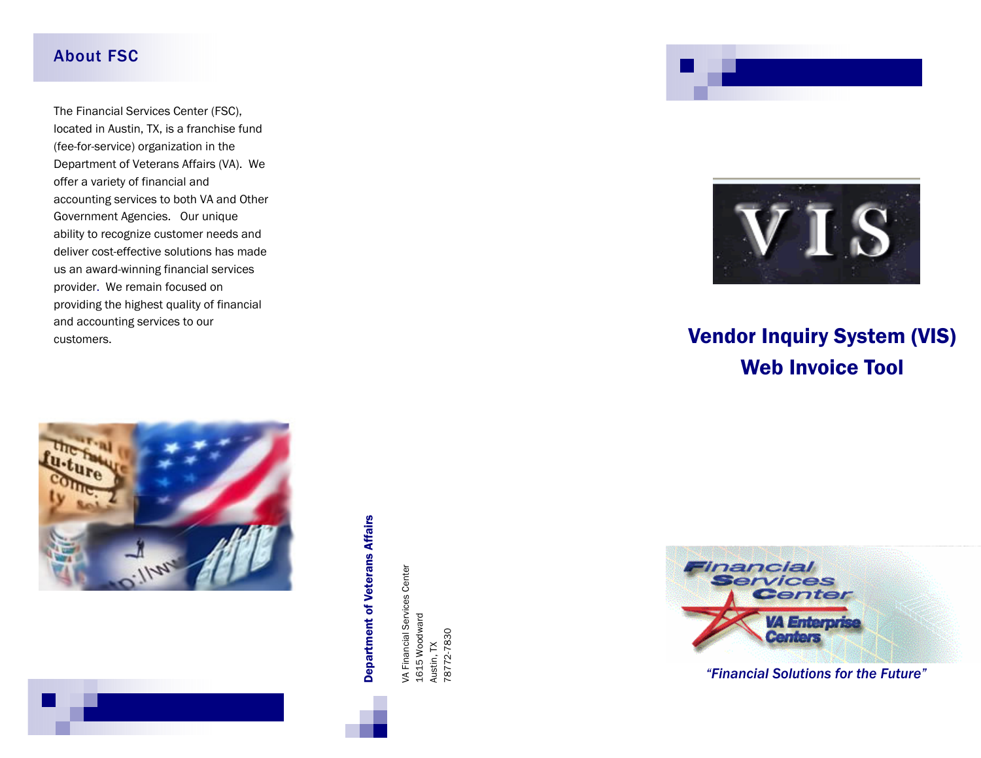#### About FSC

The Financial Services Center (FSC), located in Austin, TX, is a franchise fund (fee-for-service) organization in the Department of Veterans Affairs (VA). We offer a variety of financial and accounting services to both VA and Other Government Agencies. Our unique ability to recognize customer needs and deliver cost-effective solutions has made us an award-winning financial services provider. We remain focused on providing the highest quality of financial and accounting services to our customers.



# **Department of Veterans Affairs** Department of Veterans Affairs

VA Financial Services Center VA Financial Services Center<br>1615 Woodward 1615 Woodward 78772-7830 78772-7830 Austin, TX Austin, TX





# Vendor Inquiry System (VIS) Web Invoice Tool



*"Financial Solutions for the Future"*